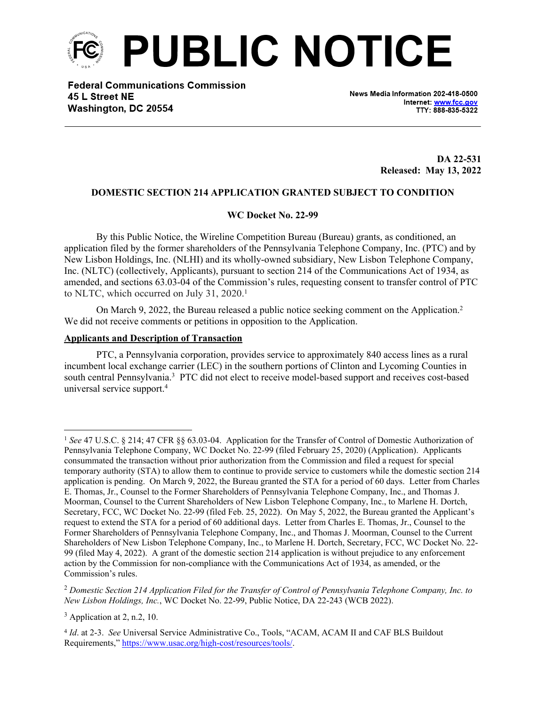

**Federal Communications Commission** 45 L Street NE Washington, DC 20554

News Media Information 202-418-0500 Internet: www.fcc.gov TTY: 888-835-5322

> **DA 22-531 Released: May 13, 2022**

## **DOMESTIC SECTION 214 APPLICATION GRANTED SUBJECT TO CONDITION**

## **WC Docket No. 22-99**

By this Public Notice, the Wireline Competition Bureau (Bureau) grants, as conditioned, an application filed by the former shareholders of the Pennsylvania Telephone Company, Inc. (PTC) and by New Lisbon Holdings, Inc. (NLHI) and its wholly-owned subsidiary, New Lisbon Telephone Company, Inc. (NLTC) (collectively, Applicants), pursuant to section 214 of the Communications Act of 1934, as amended, and sections 63.03-04 of the Commission's rules, requesting consent to transfer control of PTC to NLTC, which occurred on July 31, 2020.<sup>1</sup>

On March 9, 2022, the Bureau released a public notice seeking comment on the Application.<sup>2</sup> We did not receive comments or petitions in opposition to the Application.

## **Applicants and Description of Transaction**

PTC, a Pennsylvania corporation, provides service to approximately 840 access lines as a rural incumbent local exchange carrier (LEC) in the southern portions of Clinton and Lycoming Counties in south central Pennsylvania.<sup>3</sup> PTC did not elect to receive model-based support and receives cost-based universal service support.<sup>4</sup>

<sup>1</sup> *See* 47 U.S.C. § 214; 47 CFR §§ 63.03-04. Application for the Transfer of Control of Domestic Authorization of Pennsylvania Telephone Company, WC Docket No. 22-99 (filed February 25, 2020) (Application). Applicants consummated the transaction without prior authorization from the Commission and filed a request for special temporary authority (STA) to allow them to continue to provide service to customers while the domestic section 214 application is pending. On March 9, 2022, the Bureau granted the STA for a period of 60 days. Letter from Charles E. Thomas, Jr., Counsel to the Former Shareholders of Pennsylvania Telephone Company, Inc., and Thomas J. Moorman, Counsel to the Current Shareholders of New Lisbon Telephone Company, Inc., to Marlene H. Dortch, Secretary, FCC, WC Docket No. 22-99 (filed Feb. 25, 2022). On May 5, 2022, the Bureau granted the Applicant's request to extend the STA for a period of 60 additional days. Letter from Charles E. Thomas, Jr., Counsel to the Former Shareholders of Pennsylvania Telephone Company, Inc., and Thomas J. Moorman, Counsel to the Current Shareholders of New Lisbon Telephone Company, Inc., to Marlene H. Dortch, Secretary, FCC, WC Docket No. 22- 99 (filed May 4, 2022). A grant of the domestic section 214 application is without prejudice to any enforcement action by the Commission for non-compliance with the Communications Act of 1934, as amended, or the Commission's rules.

<sup>2</sup> *Domestic Section 214 Application Filed for the Transfer of Control of Pennsylvania Telephone Company, Inc. to New Lisbon Holdings, Inc.*, WC Docket No. 22-99, Public Notice, DA 22-243 (WCB 2022).

 $3$  Application at 2, n.2, 10.

<sup>4</sup> *Id*. at 2-3. *See* Universal Service Administrative Co., Tools, "ACAM, ACAM II and CAF BLS Buildout Requirements," <https://www.usac.org/high-cost/resources/tools/>.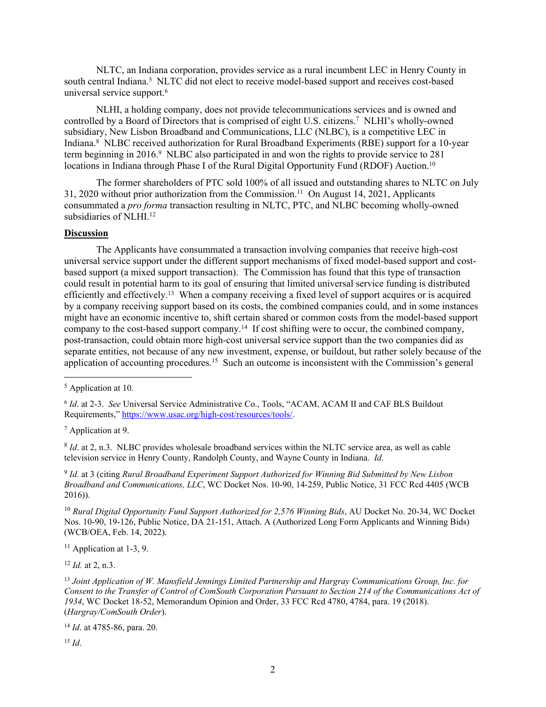NLTC, an Indiana corporation, provides service as a rural incumbent LEC in Henry County in south central Indiana.<sup>5</sup> NLTC did not elect to receive model-based support and receives cost-based universal service support.<sup>6</sup>

NLHI, a holding company, does not provide telecommunications services and is owned and controlled by a Board of Directors that is comprised of eight U.S. citizens.<sup>7</sup> NLHI's wholly-owned subsidiary, New Lisbon Broadband and Communications, LLC (NLBC), is a competitive LEC in Indiana.<sup>8</sup> NLBC received authorization for Rural Broadband Experiments (RBE) support for a 10-year term beginning in 2016.<sup>9</sup> NLBC also participated in and won the rights to provide service to 281 locations in Indiana through Phase I of the Rural Digital Opportunity Fund (RDOF) Auction.<sup>10</sup>

The former shareholders of PTC sold 100% of all issued and outstanding shares to NLTC on July 31, 2020 without prior authorization from the Commission.<sup>11</sup> On August 14, 2021, Applicants consummated a *pro forma* transaction resulting in NLTC, PTC, and NLBC becoming wholly-owned subsidiaries of NLHI.<sup>12</sup>

## **Discussion**

The Applicants have consummated a transaction involving companies that receive high-cost universal service support under the different support mechanisms of fixed model-based support and costbased support (a mixed support transaction). The Commission has found that this type of transaction could result in potential harm to its goal of ensuring that limited universal service funding is distributed efficiently and effectively.<sup>13</sup> When a company receiving a fixed level of support acquires or is acquired by a company receiving support based on its costs, the combined companies could, and in some instances might have an economic incentive to, shift certain shared or common costs from the model-based support company to the cost-based support company.<sup>14</sup> If cost shifting were to occur, the combined company, post-transaction, could obtain more high-cost universal service support than the two companies did as separate entities, not because of any new investment, expense, or buildout, but rather solely because of the application of accounting procedures.<sup>15</sup> Such an outcome is inconsistent with the Commission's general

<sup>7</sup> Application at 9.

<sup>8</sup> *Id.* at 2, n.3. NLBC provides wholesale broadband services within the NLTC service area, as well as cable television service in Henry County, Randolph County, and Wayne County in Indiana. *Id*.

9 *Id.* at 3 (citing *Rural Broadband Experiment Support Authorized for Winning Bid Submitted by New Lisbon Broadband and Communications, LLC*, WC Docket Nos. 10-90, 14-259, Public Notice, 31 FCC Rcd 4405 (WCB 2016)).

<sup>10</sup> *Rural Digital Opportunity Fund Support Authorized for 2,576 Winning Bids*, AU Docket No. 20-34, WC Docket Nos. 10-90, 19-126, Public Notice, DA 21-151, Attach. A (Authorized Long Form Applicants and Winning Bids) (WCB/OEA, Feb. 14, 2022).

 $11$  Application at 1-3, 9.

<sup>12</sup> *Id.* at 2, n.3.

<sup>15</sup> *Id*.

<sup>5</sup> Application at 10.

<sup>6</sup> *Id*. at 2-3. *See* Universal Service Administrative Co., Tools, "ACAM, ACAM II and CAF BLS Buildout Requirements," <https://www.usac.org/high-cost/resources/tools/>.

<sup>13</sup> *Joint Application of W. Mansfield Jennings Limited Partnership and Hargray Communications Group, Inc. for Consent to the Transfer of Control of ComSouth Corporation Pursuant to Section 214 of the Communications Act of 1934*, WC Docket 18-52, Memorandum Opinion and Order, 33 FCC Rcd 4780, 4784, para. 19 (2018). (*Hargray/ComSouth Order*).

<sup>14</sup> *Id*. at 4785-86, para. 20.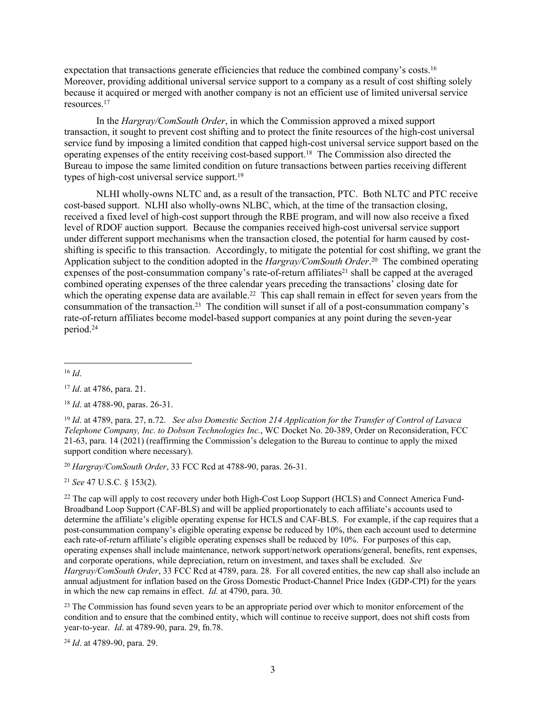expectation that transactions generate efficiencies that reduce the combined company's costs.<sup>16</sup> Moreover, providing additional universal service support to a company as a result of cost shifting solely because it acquired or merged with another company is not an efficient use of limited universal service resources.<sup>17</sup>

In the *Hargray/ComSouth Order*, in which the Commission approved a mixed support transaction, it sought to prevent cost shifting and to protect the finite resources of the high-cost universal service fund by imposing a limited condition that capped high-cost universal service support based on the operating expenses of the entity receiving cost-based support.<sup>18</sup> The Commission also directed the Bureau to impose the same limited condition on future transactions between parties receiving different types of high-cost universal service support.<sup>19</sup>

NLHI wholly-owns NLTC and, as a result of the transaction, PTC. Both NLTC and PTC receive cost-based support. NLHI also wholly-owns NLBC, which, at the time of the transaction closing, received a fixed level of high-cost support through the RBE program, and will now also receive a fixed level of RDOF auction support. Because the companies received high-cost universal service support under different support mechanisms when the transaction closed, the potential for harm caused by costshifting is specific to this transaction. Accordingly, to mitigate the potential for cost shifting, we grant the Application subject to the condition adopted in the *Hargray/ComSouth Order*. <sup>20</sup> The combined operating expenses of the post-consummation company's rate-of-return affiliates<sup>21</sup> shall be capped at the averaged combined operating expenses of the three calendar years preceding the transactions' closing date for which the operating expense data are available.<sup>22</sup> This cap shall remain in effect for seven years from the consummation of the transaction.<sup>23</sup> The condition will sunset if all of a post-consummation company's rate-of-return affiliates become model-based support companies at any point during the seven-year period.<sup>24</sup>

<sup>20</sup> *Hargray/ComSouth Order*, 33 FCC Rcd at 4788-90, paras. 26-31.

<sup>21</sup> *See* 47 U.S.C. § 153(2).

<sup>22</sup> The cap will apply to cost recovery under both High-Cost Loop Support (HCLS) and Connect America Fund-Broadband Loop Support (CAF-BLS) and will be applied proportionately to each affiliate's accounts used to determine the affiliate's eligible operating expense for HCLS and CAF-BLS. For example, if the cap requires that a post-consummation company's eligible operating expense be reduced by 10%, then each account used to determine each rate-of-return affiliate's eligible operating expenses shall be reduced by 10%. For purposes of this cap, operating expenses shall include maintenance, network support/network operations/general, benefits, rent expenses, and corporate operations, while depreciation, return on investment, and taxes shall be excluded. *See Hargray/ComSouth Order*, 33 FCC Rcd at 4789, para. 28. For all covered entities, the new cap shall also include an annual adjustment for inflation based on the Gross Domestic Product-Channel Price Index (GDP-CPI) for the years in which the new cap remains in effect. *Id.* at 4790, para. 30.

<sup>23</sup> The Commission has found seven years to be an appropriate period over which to monitor enforcement of the condition and to ensure that the combined entity, which will continue to receive support, does not shift costs from year-to-year. *Id*. at 4789-90, para. 29, fn.78.

<sup>24</sup> *Id*. at 4789-90, para. 29.

<sup>16</sup> *Id*.

<sup>17</sup> *Id*. at 4786, para. 21.

<sup>18</sup> *Id*. at 4788-90, paras. 26-31.

<sup>19</sup> *Id*. at 4789, para. 27, n.72. *See also Domestic Section 214 Application for the Transfer of Control of Lavaca Telephone Company, Inc. to Dobson Technologies Inc.*, WC Docket No. 20-389, Order on Reconsideration, FCC 21-63, para. 14 (2021) (reaffirming the Commission's delegation to the Bureau to continue to apply the mixed support condition where necessary).